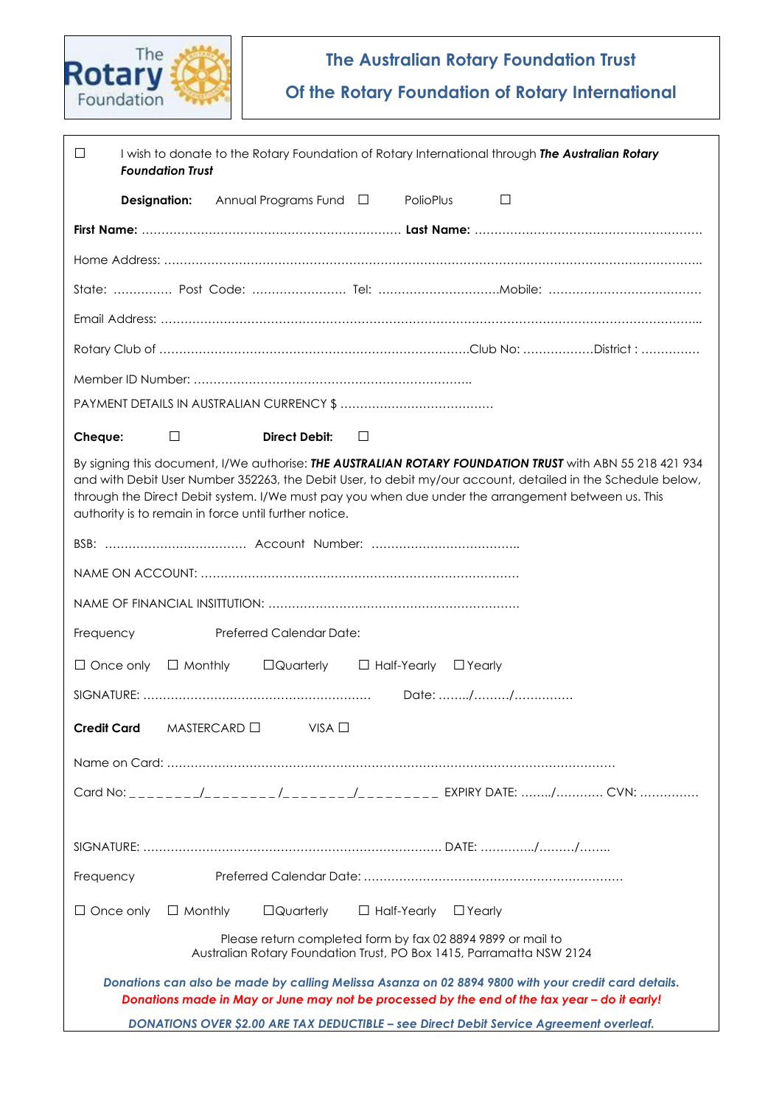

# **The Australian Rotary Foundation Trust**

**Of the Rotary Foundation of Rotary International**

| $\Box$<br>I wish to donate to the Rotary Foundation of Rotary International through The Australian Rotary<br><b>Foundation Trust</b>                                                                                                                                                                                                                                                   |  |
|----------------------------------------------------------------------------------------------------------------------------------------------------------------------------------------------------------------------------------------------------------------------------------------------------------------------------------------------------------------------------------------|--|
| Annual Programs Fund $\Box$<br>PolioPlus<br>□<br><b>Designation:</b>                                                                                                                                                                                                                                                                                                                   |  |
|                                                                                                                                                                                                                                                                                                                                                                                        |  |
|                                                                                                                                                                                                                                                                                                                                                                                        |  |
|                                                                                                                                                                                                                                                                                                                                                                                        |  |
|                                                                                                                                                                                                                                                                                                                                                                                        |  |
|                                                                                                                                                                                                                                                                                                                                                                                        |  |
|                                                                                                                                                                                                                                                                                                                                                                                        |  |
|                                                                                                                                                                                                                                                                                                                                                                                        |  |
| <b>Direct Debit:</b><br>$\Box$<br>Cheque:<br>⊔                                                                                                                                                                                                                                                                                                                                         |  |
| By signing this document, I/We authorise: THE AUSTRALIAN ROTARY FOUNDATION TRUST with ABN 55 218 421 934<br>and with Debit User Number 352263, the Debit User, to debit my/our account, detailed in the Schedule below,<br>through the Direct Debit system. I/We must pay you when due under the arrangement between us. This<br>authority is to remain in force until further notice. |  |
|                                                                                                                                                                                                                                                                                                                                                                                        |  |
|                                                                                                                                                                                                                                                                                                                                                                                        |  |
|                                                                                                                                                                                                                                                                                                                                                                                        |  |
| Preferred Calendar Date:<br>Frequency                                                                                                                                                                                                                                                                                                                                                  |  |
| $\Box$ Monthly<br>$\Box$ Quarterly<br>$\Box$ Once only<br>$\Box$ Half-Yearly<br>$\Box$ Yearly                                                                                                                                                                                                                                                                                          |  |
|                                                                                                                                                                                                                                                                                                                                                                                        |  |
| $MASTERCARD \Box$ VISA $\Box$<br>Credit Card                                                                                                                                                                                                                                                                                                                                           |  |
|                                                                                                                                                                                                                                                                                                                                                                                        |  |
|                                                                                                                                                                                                                                                                                                                                                                                        |  |
|                                                                                                                                                                                                                                                                                                                                                                                        |  |
| Frequency                                                                                                                                                                                                                                                                                                                                                                              |  |
| $\Box$ Quarterly<br>$\Box$ Half-Yearly<br>$\Box$ Once only<br>$\Box$ Monthly<br>$\Box$ Yearly                                                                                                                                                                                                                                                                                          |  |
| Please return completed form by fax 02 8894 9899 or mail to<br>Australian Rotary Foundation Trust, PO Box 1415, Parramatta NSW 2124                                                                                                                                                                                                                                                    |  |
| Donations can also be made by calling Melissa Asanza on 02 8894 9800 with your credit card details.<br>Donations made in May or June may not be processed by the end of the tax year - do it early!                                                                                                                                                                                    |  |
| DONATIONS OVER \$2.00 ARE TAX DEDUCTIBLE - see Direct Debit Service Agreement overleaf.                                                                                                                                                                                                                                                                                                |  |